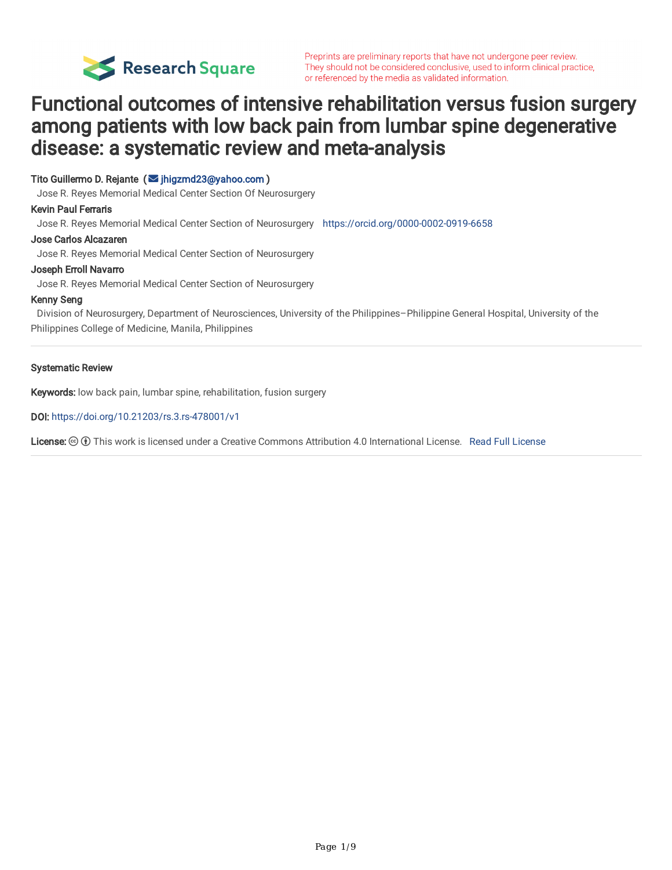

# Functional outcomes of intensive rehabilitation versus fusion surgery among patients with low back pain from lumbar spine degenerative disease: a systematic review and meta-analysis

Tito Guillermo D. Rejante ( $\blacksquare$  [jhigzmd23@yahoo.com](mailto:jhigzmd23@yahoo.com))

Jose R. Reyes Memorial Medical Center Section Of Neurosurgery

#### Kevin Paul Ferraris

Jose R. Reyes Memorial Medical Center Section of Neurosurgery <https://orcid.org/0000-0002-0919-6658>

#### Jose Carlos Alcazaren

Jose R. Reyes Memorial Medical Center Section of Neurosurgery

#### Joseph Erroll Navarro

Jose R. Reyes Memorial Medical Center Section of Neurosurgery

#### Kenny Seng

Division of Neurosurgery, Department of Neurosciences, University of the Philippines–Philippine General Hospital, University of the Philippines College of Medicine, Manila, Philippines

#### Systematic Review

Keywords: low back pain, lumbar spine, rehabilitation, fusion surgery

DOI: <https://doi.org/10.21203/rs.3.rs-478001/v1>

License: This work is licensed under a Creative Commons Attribution 4.0 International License. Read Full [License](https://creativecommons.org/licenses/by/4.0/)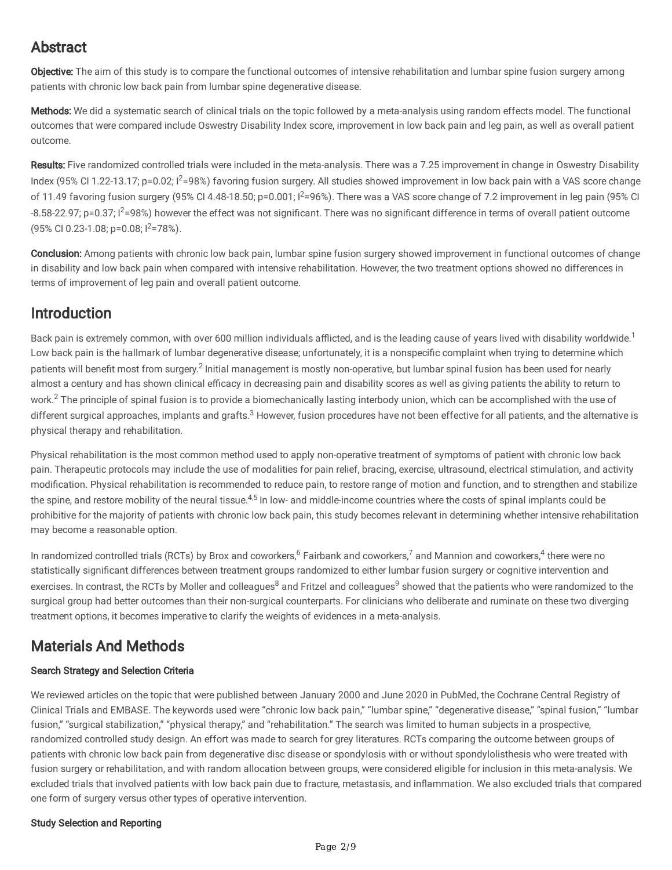# Abstract

Objective: The aim of this study is to compare the functional outcomes of intensive rehabilitation and lumbar spine fusion surgery among patients with chronic low back pain from lumbar spine degenerative disease.

Methods: We did a systematic search of clinical trials on the topic followed by a meta-analysis using random effects model. The functional outcomes that were compared include Oswestry Disability Index score, improvement in low back pain and leg pain, as well as overall patient outcome.

Results: Five randomized controlled trials were included in the meta-analysis. There was a 7.25 improvement in change in Oswestry Disability Index (95% CI 1.22-13.17; p=0.02;  $1^2$ =98%) favoring fusion surgery. All studies showed improvement in low back pain with a VAS score change of 11.49 favoring fusion surgery (95% CI 4.48-18.50;  $p=0.001$ ;  $l^2=96$ %). There was a VAS score change of 7.2 improvement in leg pain (95% CI -8.58-22.97; p=0.37; I<sup>2</sup>=98%) however the effect was not significant. There was no significant difference in terms of overall patient outcome (95% CI 0.23-1.08; p=0.08; I2=78%).

Conclusion: Among patients with chronic low back pain, lumbar spine fusion surgery showed improvement in functional outcomes of change in disability and low back pain when compared with intensive rehabilitation. However, the two treatment options showed no differences in terms of improvement of leg pain and overall patient outcome.

# Introduction

Back pain is extremely common, with over 600 million individuals afflicted, and is the leading cause of years lived with disability worldwide.<sup>1</sup> Low back pain is the hallmark of lumbar degenerative disease; unfortunately, it is a nonspecific complaint when trying to determine which patients will benefit most from surgery.<sup>2</sup> Initial management is mostly non-operative, but lumbar spinal fusion has been used for nearly almost a century and has shown clinical efficacy in decreasing pain and disability scores as well as giving patients the ability to return to work.<sup>2</sup> The principle of spinal fusion is to provide a biomechanically lasting interbody union, which can be accomplished with the use of different surgical approaches, implants and grafts.<sup>3</sup> However, fusion procedures have not been effective for all patients, and the alternative is physical therapy and rehabilitation.

Physical rehabilitation is the most common method used to apply non-operative treatment of symptoms of patient with chronic low back pain. Therapeutic protocols may include the use of modalities for pain relief, bracing, exercise, ultrasound, electrical stimulation, and activity modification. Physical rehabilitation is recommended to reduce pain, to restore range of motion and function, and to strengthen and stabilize the spine, and restore mobility of the neural tissue.<sup>4,5</sup> In low- and middle-income countries where the costs of spinal implants could be prohibitive for the majority of patients with chronic low back pain, this study becomes relevant in determining whether intensive rehabilitation may become a reasonable option.

In randomized controlled trials (RCTs) by Brox and coworkers, <sup>6</sup> Fairbank and coworkers, <sup>7</sup> and Mannion and coworkers, <sup>4</sup> there were no statistically significant differences between treatment groups randomized to either lumbar fusion surgery or cognitive intervention and exercises. In contrast, the RCTs by Moller and colleagues<sup>8</sup> and Fritzel and colleagues<sup>9</sup> showed that the patients who were randomized to the surgical group had better outcomes than their non-surgical counterparts. For clinicians who deliberate and ruminate on these two diverging treatment options, it becomes imperative to clarify the weights of evidences in a meta-analysis.

# Materials And Methods

## Search Strategy and Selection Criteria

We reviewed articles on the topic that were published between January 2000 and June 2020 in PubMed, the Cochrane Central Registry of Clinical Trials and EMBASE. The keywords used were "chronic low back pain," "lumbar spine," "degenerative disease," "spinal fusion," "lumbar fusion," "surgical stabilization," "physical therapy," and "rehabilitation." The search was limited to human subjects in a prospective, randomized controlled study design. An effort was made to search for grey literatures. RCTs comparing the outcome between groups of patients with chronic low back pain from degenerative disc disease or spondylosis with or without spondylolisthesis who were treated with fusion surgery or rehabilitation, and with random allocation between groups, were considered eligible for inclusion in this meta-analysis. We excluded trials that involved patients with low back pain due to fracture, metastasis, and inflammation. We also excluded trials that compared one form of surgery versus other types of operative intervention.

### Study Selection and Reporting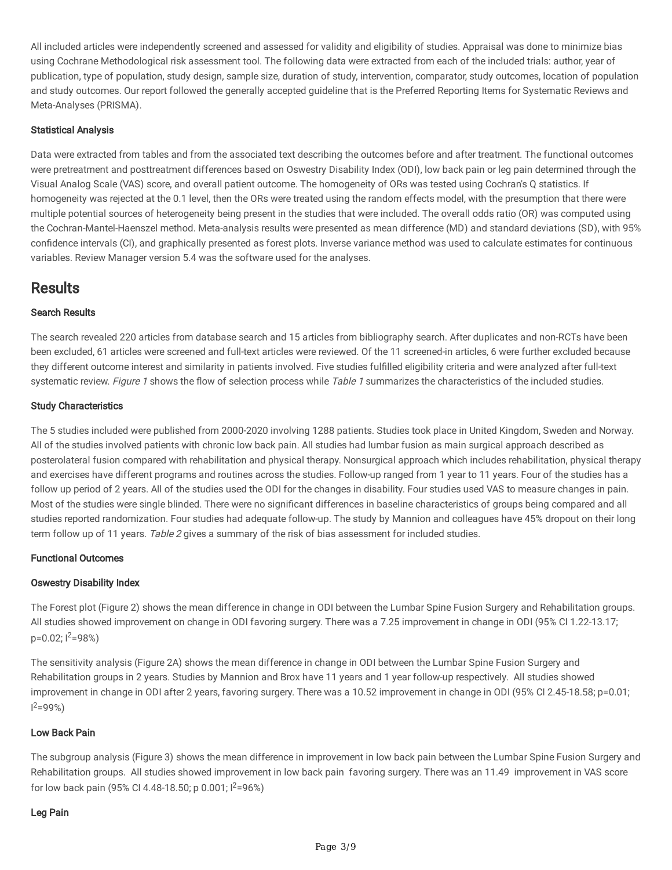All included articles were independently screened and assessed for validity and eligibility of studies. Appraisal was done to minimize bias using Cochrane Methodological risk assessment tool. The following data were extracted from each of the included trials: author, year of publication, type of population, study design, sample size, duration of study, intervention, comparator, study outcomes, location of population and study outcomes. Our report followed the generally accepted guideline that is the Preferred Reporting Items for Systematic Reviews and Meta-Analyses (PRISMA).

### Statistical Analysis

Data were extracted from tables and from the associated text describing the outcomes before and after treatment. The functional outcomes were pretreatment and posttreatment differences based on Oswestry Disability Index (ODI), low back pain or leg pain determined through the Visual Analog Scale (VAS) score, and overall patient outcome. The homogeneity of ORs was tested using Cochran's Q statistics. If homogeneity was rejected at the 0.1 level, then the ORs were treated using the random effects model, with the presumption that there were multiple potential sources of heterogeneity being present in the studies that were included. The overall odds ratio (OR) was computed using the Cochran-Mantel-Haenszel method. Meta-analysis results were presented as mean difference (MD) and standard deviations (SD), with 95% confidence intervals (CI), and graphically presented as forest plots. Inverse variance method was used to calculate estimates for continuous variables. Review Manager version 5.4 was the software used for the analyses.

## **Results**

### Search Results

The search revealed 220 articles from database search and 15 articles from bibliography search. After duplicates and non-RCTs have been been excluded, 61 articles were screened and full-text articles were reviewed. Of the 11 screened-in articles, 6 were further excluded because they different outcome interest and similarity in patients involved. Five studies fulfilled eligibility criteria and were analyzed after full-text systematic review. Figure 1 shows the flow of selection process while Table 1 summarizes the characteristics of the included studies.

### Study Characteristics

The 5 studies included were published from 2000-2020 involving 1288 patients. Studies took place in United Kingdom, Sweden and Norway. All of the studies involved patients with chronic low back pain. All studies had lumbar fusion as main surgical approach described as posterolateral fusion compared with rehabilitation and physical therapy. Nonsurgical approach which includes rehabilitation, physical therapy and exercises have different programs and routines across the studies. Follow-up ranged from 1 year to 11 years. Four of the studies has a follow up period of 2 years. All of the studies used the ODI for the changes in disability. Four studies used VAS to measure changes in pain. Most of the studies were single blinded. There were no significant differences in baseline characteristics of groups being compared and all studies reported randomization. Four studies had adequate follow-up. The study by Mannion and colleagues have 45% dropout on their long term follow up of 11 years. Table 2 gives a summary of the risk of bias assessment for included studies.

### Functional Outcomes

### Oswestry Disability Index

The Forest plot (Figure 2) shows the mean difference in change in ODI between the Lumbar Spine Fusion Surgery and Rehabilitation groups. All studies showed improvement on change in ODI favoring surgery. There was a 7.25 improvement in change in ODI (95% CI 1.22-13.17;  $p=0.02$ ;  $1^2=98%$ 

The sensitivity analysis (Figure 2A) shows the mean difference in change in ODI between the Lumbar Spine Fusion Surgery and Rehabilitation groups in 2 years. Studies by Mannion and Brox have 11 years and 1 year follow-up respectively. All studies showed improvement in change in ODI after 2 years, favoring surgery. There was a 10.52 improvement in change in ODI (95% CI 2.45-18.58; p=0.01;  $1^2 = 99\%$ 

### Low Back Pain

The subgroup analysis (Figure 3) shows the mean difference in improvement in low back pain between the Lumbar Spine Fusion Surgery and Rehabilitation groups. All studies showed improvement in low back pain favoring surgery. There was an 11.49 improvement in VAS score for low back pain (95% CI 4.48-18.50; p 0.001;  $1^2$ =96%)

### Leg Pain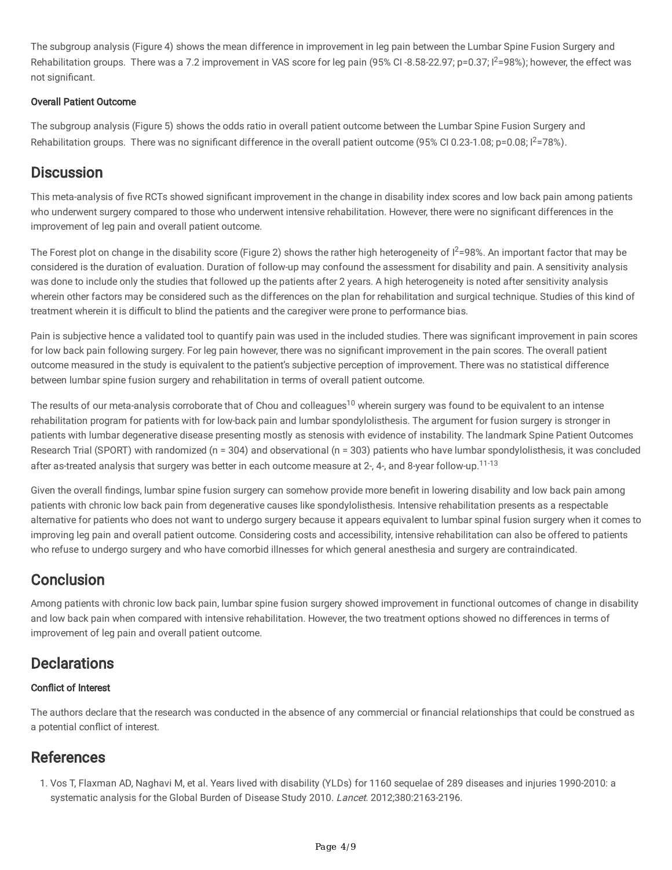The subgroup analysis (Figure 4) shows the mean difference in improvement in leg pain between the Lumbar Spine Fusion Surgery and Rehabilitation groups. There was a 7.2 improvement in VAS score for leg pain (95% CI-8.58-22.97;  $p=0.37$ ;  $l^2=98$ %); however, the effect was not significant.

### Overall Patient Outcome

The subgroup analysis (Figure 5) shows the odds ratio in overall patient outcome between the Lumbar Spine Fusion Surgery and Rehabilitation groups. There was no significant difference in the overall patient outcome (95% CI 0.23-1.08;  $p=0.08$ ;  $l^2=78$ %).

## **Discussion**

This meta-analysis of five RCTs showed significant improvement in the change in disability index scores and low back pain among patients who underwent surgery compared to those who underwent intensive rehabilitation. However, there were no significant differences in the improvement of leg pain and overall patient outcome.

The Forest plot on change in the disability score (Figure 2) shows the rather high heterogeneity of  $l^2=98\%$ . An important factor that may be considered is the duration of evaluation. Duration of follow-up may confound the assessment for disability and pain. A sensitivity analysis was done to include only the studies that followed up the patients after 2 years. A high heterogeneity is noted after sensitivity analysis wherein other factors may be considered such as the differences on the plan for rehabilitation and surgical technique. Studies of this kind of treatment wherein it is difficult to blind the patients and the caregiver were prone to performance bias.

Pain is subjective hence a validated tool to quantify pain was used in the included studies. There was significant improvement in pain scores for low back pain following surgery. For leg pain however, there was no significant improvement in the pain scores. The overall patient outcome measured in the study is equivalent to the patient's subjective perception of improvement. There was no statistical difference between lumbar spine fusion surgery and rehabilitation in terms of overall patient outcome.

The results of our meta-analysis corroborate that of Chou and colleagues<sup>10</sup> wherein surgery was found to be equivalent to an intense rehabilitation program for patients with for low-back pain and lumbar spondylolisthesis. The argument for fusion surgery is stronger in patients with lumbar degenerative disease presenting mostly as stenosis with evidence of instability. The landmark Spine Patient Outcomes Research Trial (SPORT) with randomized (n = 304) and observational (n = 303) patients who have lumbar spondylolisthesis, it was concluded after as-treated analysis that surgery was better in each outcome measure at 2-, 4-, and 8-year follow-up.<sup>11-13</sup>

Given the overall findings, lumbar spine fusion surgery can somehow provide more benefit in lowering disability and low back pain among patients with chronic low back pain from degenerative causes like spondylolisthesis. Intensive rehabilitation presents as a respectable alternative for patients who does not want to undergo surgery because it appears equivalent to lumbar spinal fusion surgery when it comes to improving leg pain and overall patient outcome. Considering costs and accessibility, intensive rehabilitation can also be offered to patients who refuse to undergo surgery and who have comorbid illnesses for which general anesthesia and surgery are contraindicated.

# **Conclusion**

Among patients with chronic low back pain, lumbar spine fusion surgery showed improvement in functional outcomes of change in disability and low back pain when compared with intensive rehabilitation. However, the two treatment options showed no differences in terms of improvement of leg pain and overall patient outcome.

# **Declarations**

## **Conflict of Interest**

The authors declare that the research was conducted in the absence of any commercial or financial relationships that could be construed as a potential conflict of interest.

# References

1. Vos T, Flaxman AD, Naghavi M, et al. Years lived with disability (YLDs) for 1160 sequelae of 289 diseases and injuries 1990-2010: a systematic analysis for the Global Burden of Disease Study 2010. Lancet. 2012;380:2163-2196.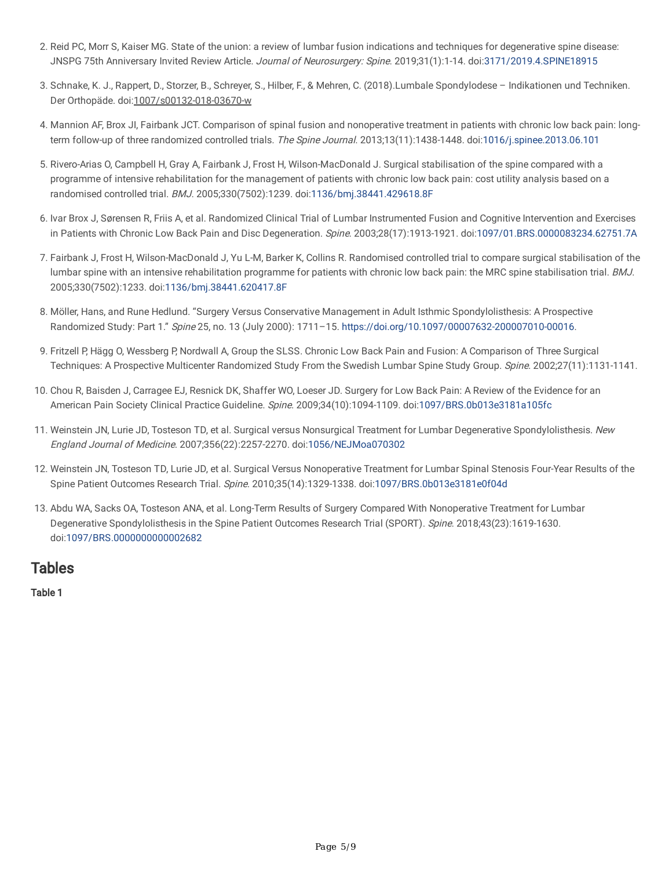- 2. Reid PC, Morr S, Kaiser MG. State of the union: a review of lumbar fusion indications and techniques for degenerative spine disease: JNSPG 75th Anniversary Invited Review Article. Journal of Neurosurgery: Spine. 2019;31(1):1-14. doi[:3171/2019.4.SPINE18915](https://doi.org/10.3171/2019.4.SPINE18915)
- 3. Schnake, K. J., Rappert, D., Storzer, B., Schreyer, S., Hilber, F., & Mehren, C. (2018).Lumbale Spondylodese Indikationen und Techniken. Der Orthopäde. doi:1007/s00132-018-03670-w
- 4. Mannion AF, Brox JI, Fairbank JCT. Comparison of spinal fusion and nonoperative treatment in patients with chronic low back pain: long-term follow-up of three randomized controlled trials. The Spine Journal. 2013;13(11):1438-1448. doi[:1016/j.spinee.2013.06.101](https://doi.org/10.1016/j.spinee.2013.06.101)
- 5. Rivero-Arias O, Campbell H, Gray A, Fairbank J, Frost H, Wilson-MacDonald J. Surgical stabilisation of the spine compared with a programme of intensive rehabilitation for the management of patients with chronic low back pain: cost utility analysis based on a randomised controlled trial. BMJ. 2005;330(7502):1239. doi:[1136/bmj.38441.429618.8F](https://doi.org/10.1136/bmj.38441.429618.8F)
- . Ivar Brox J, Sørensen R, Friis A, et al. Randomized Clinical Trial of Lumbar Instrumented Fusion and Cognitive Intervention and Exercises in Patients with Chronic Low Back Pain and Disc Degeneration. Spine. 2003;28(17):1913-1921. doi:[1097/01.BRS.0000083234.62751.7A](https://doi.org/10.1097/01.BRS.0000083234.62751.7A)
- 7. Fairbank J, Frost H, Wilson-MacDonald J, Yu L-M, Barker K, Collins R. Randomised controlled trial to compare surgical stabilisation of the lumbar spine with an intensive rehabilitation programme for patients with chronic low back pain: the MRC spine stabilisation trial. BMJ. 2005;330(7502):1233. doi[:1136/bmj.38441.620417.8F](https://doi.org/10.1136/bmj.38441.620417.8F)
- . Möller, Hans, and Rune Hedlund. "Surgery Versus Conservative Management in Adult Isthmic Spondylolisthesis: A Prospective Randomized Study: Part 1." Spine 25, no. 13 (July 2000): 1711–15. <https://doi.org/10.1097/00007632-200007010-00016>.
- 9. Fritzell P, Hägg O, Wessberg P, Nordwall A, Group the SLSS. Chronic Low Back Pain and Fusion: A Comparison of Three Surgical Techniques: A Prospective Multicenter Randomized Study From the Swedish Lumbar Spine Study Group. Spine. 2002;27(11):1131-1141.
- 10. Chou R, Baisden J, Carragee EJ, Resnick DK, Shaffer WO, Loeser JD. Surgery for Low Back Pain: A Review of the Evidence for an American Pain Society Clinical Practice Guideline. Spine. 2009;34(10):1094-1109. doi:[1097/BRS.0b013e3181a105fc](https://doi.org/10.1097/BRS.0b013e3181a105fc)
- 11. Weinstein JN, Lurie JD, Tosteson TD, et al. Surgical versus Nonsurgical Treatment for Lumbar Degenerative Spondylolisthesis. New England Journal of Medicine. 2007;356(22):2257-2270. doi:[1056/NEJMoa070302](https://doi.org/10.1056/NEJMoa070302)
- 12. Weinstein JN, Tosteson TD, Lurie JD, et al. Surgical Versus Nonoperative Treatment for Lumbar Spinal Stenosis Four-Year Results of the Spine Patient Outcomes Research Trial. Spine. 2010;35(14):1329-1338. doi:[1097/BRS.0b013e3181e0f04d](https://doi.org/10.1097/BRS.0b013e3181e0f04d)
- 13. Abdu WA, Sacks OA, Tosteson ANA, et al. Long-Term Results of Surgery Compared With Nonoperative Treatment for Lumbar Degenerative Spondylolisthesis in the Spine Patient Outcomes Research Trial (SPORT). Spine. 2018;43(23):1619-1630. doi[:1097/BRS.0000000000002682](https://doi.org/10.1097/BRS.0000000000002682)

## Tables

Table 1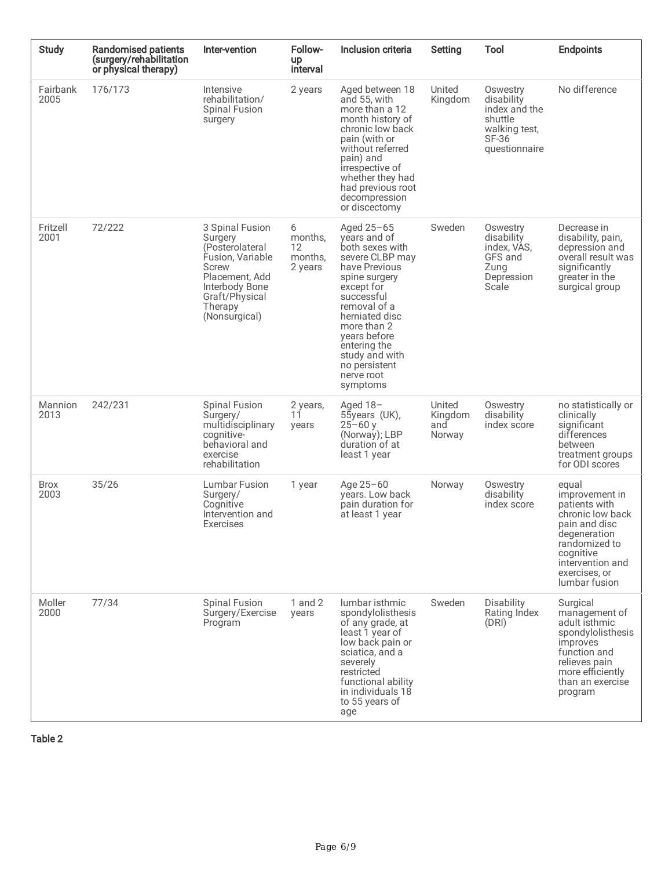| <b>Study</b>        | <b>Randomised patients</b><br>(surgery/rehabilitation<br>or physical therapy) | Inter-vention                                                                                                                                                       | Follow-<br><b>up</b><br>interval         | Inclusion criteria                                                                                                                                                                                                                                                             | Setting                            | Tool                                                                                          | <b>Endpoints</b>                                                                                                                                                                  |
|---------------------|-------------------------------------------------------------------------------|---------------------------------------------------------------------------------------------------------------------------------------------------------------------|------------------------------------------|--------------------------------------------------------------------------------------------------------------------------------------------------------------------------------------------------------------------------------------------------------------------------------|------------------------------------|-----------------------------------------------------------------------------------------------|-----------------------------------------------------------------------------------------------------------------------------------------------------------------------------------|
| Fairbank<br>2005    | 176/173                                                                       | Intensive<br>rehabilitation/<br><b>Spinal Fusion</b><br>surgery                                                                                                     | 2 years                                  | Aged between 18<br>and 55, with<br>more than a 12<br>month history of<br>chronic low back<br>pain (with or<br>without referred<br>pain) and<br>irrespective of<br>whether they had<br>had previous root<br>decompression<br>or discectomy                                      | United<br>Kingdom                  | Oswestry<br>disability<br>index and the<br>shuttle<br>walking test,<br>SF-36<br>questionnaire | No difference                                                                                                                                                                     |
| Fritzell<br>2001    | 72/222                                                                        | 3 Spinal Fusion<br>Surgery<br>(Posterolateral<br>Fusion, Variable<br><b>Screw</b><br>Placement. Add<br>Interbody Bone<br>Graft/Physical<br>Therapy<br>(Nonsurgical) | 6<br>months,<br>12<br>months,<br>2 years | Aged $25-65$<br>years and of<br>both sexes with<br>severe CLBP may<br>have Previous<br>spine surgery<br>except for<br>successful<br>removal of a<br>herniated disc<br>more than 2<br>years before<br>entering the<br>study and with<br>no persistent<br>nerve root<br>symptoms | Sweden                             | Oswestry<br>disability<br>index, VAS,<br>GFS and<br>Zung<br>Depression<br>Scale               | Decrease in<br>disability, pain,<br>depression and<br>overall result was<br>significantly<br>greater in the<br>surgical group                                                     |
| Mannion<br>2013     | 242/231                                                                       | <b>Spinal Fusion</b><br>Surgery/<br>multidisciplinary<br>cognitive-<br>behavioral and<br>exercise<br>rehabilitation                                                 | 2 years,<br>11<br>years                  | Aged $18-$<br>55years (UK),<br>$25 - 60y$<br>(Norway); LBP<br>duration of at<br>least 1 year                                                                                                                                                                                   | United<br>Kingdom<br>and<br>Norway | Oswestry<br>disability<br>index score                                                         | no statistically or<br>clinically<br>significant<br>differences<br>between<br>treatment groups<br>for ODI scores                                                                  |
| <b>Brox</b><br>2003 | 35/26                                                                         | <b>Lumbar Fusion</b><br>Surgery/<br>Cognitive<br>Intervention and<br>Exercises                                                                                      | 1 year                                   | Age $25 - 60$<br>years. Low back<br>pain duration for<br>at least 1 year                                                                                                                                                                                                       | Norway                             | Oswestry<br>disability<br>index score                                                         | equal<br>improvement in<br>patients with<br>chronic low back<br>pain and disc<br>degeneration<br>randomized to<br>cognitive<br>intervention and<br>exercises, or<br>lumbar fusion |
| Moller<br>2000      | 77/34                                                                         | Spinal Fusion<br>Surgery/Exercise<br>Program                                                                                                                        | $1$ and $2$<br>years                     | lumbar isthmic<br>spondylolisthesis<br>of any grade, at<br>least 1 year of<br>low back pain or<br>sciatica, and a<br>severely<br>restricted<br>functional ability<br>in individuals 18<br>to 55 years of<br>age                                                                | Sweden                             | <b>Disability</b><br>Rating Index<br>(DRI)                                                    | Surgical<br>management of<br>adult isthmic<br>spondylolisthesis<br>improves<br>function and<br>relieves pain<br>more efficiently<br>than an exercise<br>program                   |

Table 2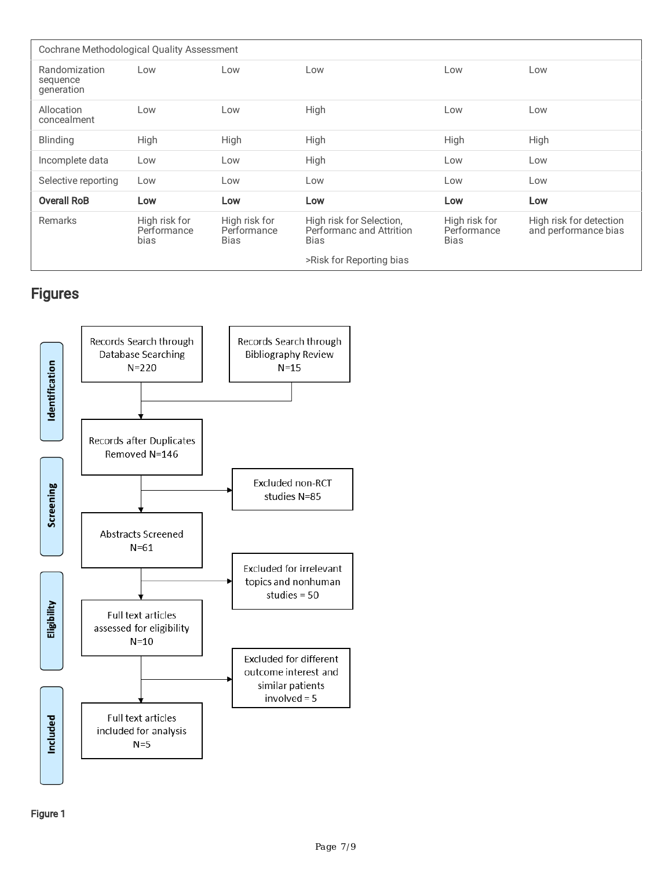| Cochrane Methodological Quality Assessment                     |            |                              |                                                              |                                             |                                                 |  |  |  |  |  |
|----------------------------------------------------------------|------------|------------------------------|--------------------------------------------------------------|---------------------------------------------|-------------------------------------------------|--|--|--|--|--|
| Randomization<br>sequence<br>generation                        | Low<br>Low |                              | Low                                                          | Low                                         | Low                                             |  |  |  |  |  |
| Allocation<br>concealment                                      | Low        | Low                          | High                                                         | Low                                         | Low                                             |  |  |  |  |  |
| <b>Blinding</b>                                                | High       | High                         | High                                                         | High                                        | High                                            |  |  |  |  |  |
| Incomplete data                                                | Low        | Low                          | High                                                         | Low                                         | Low                                             |  |  |  |  |  |
| Selective reporting                                            | Low        | Low                          | Low                                                          | Low                                         | Low                                             |  |  |  |  |  |
| <b>Overall RoB</b>                                             | Low        | Low                          | Low                                                          | Low                                         | Low                                             |  |  |  |  |  |
| Remarks<br>High risk for<br>Performance<br>bias<br><b>Bias</b> |            | High risk for<br>Performance | High risk for Selection,<br>Performanc and Attrition<br>Bias | High risk for<br>Performance<br><b>Bias</b> | High risk for detection<br>and performance bias |  |  |  |  |  |
|                                                                |            |                              | >Risk for Reporting bias                                     |                                             |                                                 |  |  |  |  |  |

# Figures

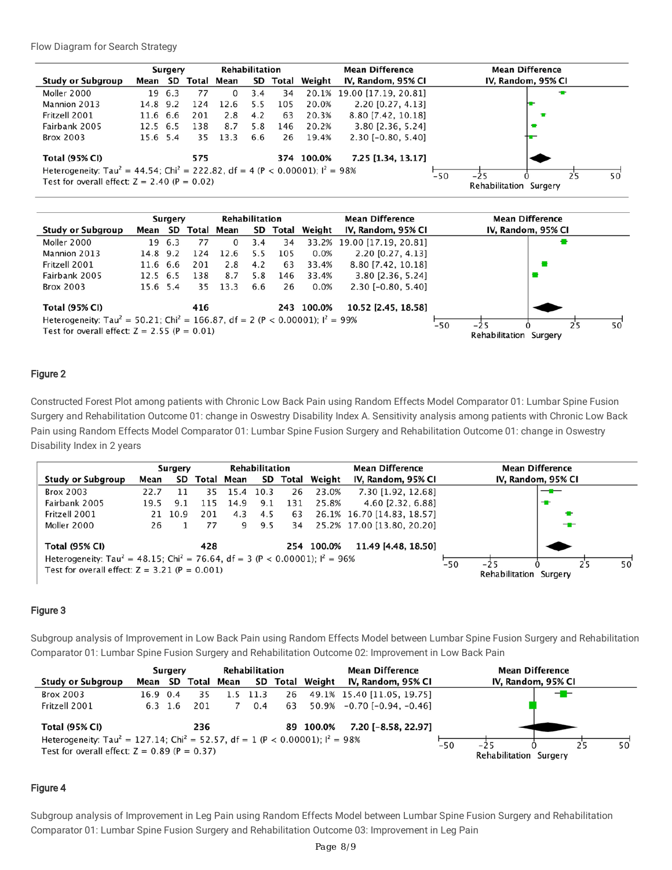Flow Diagram for Search Strategy

|                                                                                                       | Surgery  |            |     | <b>Rehabilitation</b> |                 |                    |                    | <b>Mean Difference</b>     | <b>Mean Difference</b>     |
|-------------------------------------------------------------------------------------------------------|----------|------------|-----|-----------------------|-----------------|--------------------|--------------------|----------------------------|----------------------------|
| <b>Study or Subgroup</b><br>Mean SD                                                                   |          | Total Mean |     |                       | SD Total Weight | IV, Random, 95% CI | IV, Random, 95% CI |                            |                            |
| Moller 2000                                                                                           | 19       | 6.3        | 77  | 0                     | 3.4             | 34                 |                    | 20.1% 19.00 [17.19. 20.81] | ÷                          |
| Mannion 2013                                                                                          | 14.8 9.2 |            | 124 | 12.6                  | 5.5             | 105                | 20.0%              | 2.20 [0.27, 4.13]          |                            |
| Fritzell 2001                                                                                         | 11.6 6.6 |            | 201 | 2.8                   | 4.2             | 63                 | 20.3%              | 8.80 [7.42, 10.18]         |                            |
| Fairbank 2005                                                                                         | 12.5 6.5 |            | 138 | 8.7                   | 5.8             | 146                | 20.2%              | 3.80 [2.36, 5.24]          |                            |
| <b>Brox 2003</b>                                                                                      | 15.6 5.4 |            | 35  | 13.3                  | 6.6             | 26                 | 19.4%              | $2.30$ [-0.80, 5.40]       |                            |
| <b>Total (95% CI)</b>                                                                                 |          |            | 575 |                       |                 |                    | 374 100.0%         | 7.25 [1.34, 13.17]         |                            |
| Heterogeneity: Tau <sup>2</sup> = 44.54; Chi <sup>2</sup> = 222.82, df = 4 (P < 0.00001); $I^2$ = 98% |          |            |     |                       |                 |                    |                    |                            | $-50$<br>$-25$<br>25<br>50 |
| Test for overall effect: $Z = 2.40$ (P = 0.02)                                                        |          |            |     |                       |                 |                    |                    |                            | Rehabilitation Surgery     |



#### Figure 2

Constructed Forest Plot among patients with Chronic Low Back Pain using Random Effects Model Comparator 01: Lumbar Spine Fusion Surgery and Rehabilitation Outcome 01: change in Oswestry Disability Index A. Sensitivity analysis among patients with Chronic Low Back Pain using Random Effects Model Comparator 01: Lumbar Spine Fusion Surgery and Rehabilitation Outcome 01: change in Oswestry Disability Index in 2 years

|                                                                                                                                                         |                          | Surgery    |         |            |                                          | Rehabilitation |     |                    | <b>Mean Difference</b>     | <b>Mean Difference</b> |                                 |   |    |    |
|---------------------------------------------------------------------------------------------------------------------------------------------------------|--------------------------|------------|---------|------------|------------------------------------------|----------------|-----|--------------------|----------------------------|------------------------|---------------------------------|---|----|----|
|                                                                                                                                                         | <b>Study or Subgroup</b> | SD<br>Mean |         | Total Mean | Total Weight<br>IV, Random, 95% CI<br>SD |                |     | IV, Random, 95% CI |                            |                        |                                 |   |    |    |
|                                                                                                                                                         | <b>Brox 2003</b>         | 22.7       | 11      | 35         | 15.4                                     | 10.3           | 26  | 23.0%              | 7.30 [1.92, 12.68]         |                        |                                 |   |    |    |
|                                                                                                                                                         | Fairbank 2005            | 19.5       | 9.1     | 115        | 14.9                                     | 9.1            | 131 | 25.8%              | 4.60 [2.32, 6.88]          |                        |                                 | ÷ |    |    |
|                                                                                                                                                         | Fritzell 2001            |            | 21 10.9 | 201        | 4.3                                      | 4.5            | 63  |                    | 26.1% 16.70 [14.83, 18.57] |                        |                                 | ÷ |    |    |
|                                                                                                                                                         | Moller 2000              | 26         |         | 77         | 9                                        | 9.5            | 34  |                    | 25.2% 17.00 [13.80, 20.20] |                        |                                 | ╼ |    |    |
|                                                                                                                                                         | <b>Total (95% CI)</b>    |            |         | 428        |                                          |                |     | 254 100.0%         | 11.49 [4.48, 18.50]        |                        |                                 |   |    |    |
| Heterogeneity: Tau <sup>2</sup> = 48.15; Chi <sup>2</sup> = 76.64, df = 3 (P < 0.00001); $I^2$ = 96%<br>Test for overall effect: $Z = 3.21$ (P = 0.001) |                          |            |         |            |                                          |                |     |                    |                            | $-50$                  | $-25$<br>Rehabilitation Surgery |   | 25 | 50 |

#### Figure 3

Subgroup analysis of Improvement in Low Back Pain using Random Effects Model between Lumbar Spine Fusion Surgery and Rehabilitation Comparator 01: Lumbar Spine Fusion Surgery and Rehabilitation Outcome 02: Improvement in Low Back Pain



#### Figure 4

Subgroup analysis of Improvement in Leg Pain using Random Effects Model between Lumbar Spine Fusion Surgery and Rehabilitation Comparator 01: Lumbar Spine Fusion Surgery and Rehabilitation Outcome 03: Improvement in Leg Pain